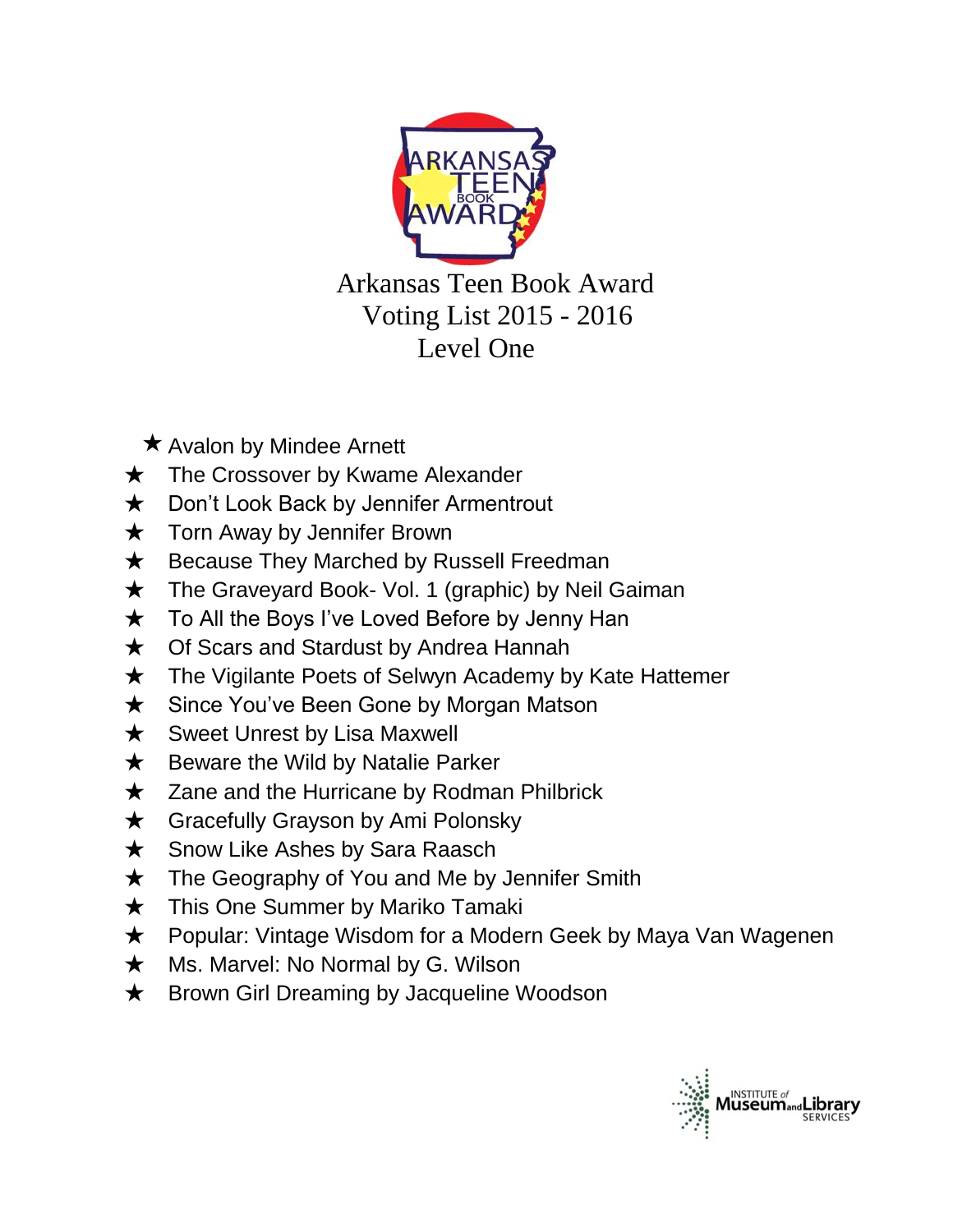

 Arkansas Teen Book Award Voting List 2015 - 2016 Level One

- $\star$  Avalon by Mindee Arnett
- $\star$  The Crossover by Kwame Alexander
- **★** Don't Look Back by Jennifer Armentrout
- **★** Torn Away by Jennifer Brown
- **★** Because They Marched by Russell Freedman
- ★ The Graveyard Book- Vol. 1 (graphic) by Neil Gaiman
- ★ To All the Boys I've Loved Before by Jenny Han
- ★ Of Scars and Stardust by Andrea Hannah
- ★ The Vigilante Poets of Selwyn Academy by Kate Hattemer
- ★ Since You've Been Gone by Morgan Matson
- **★** Sweet Unrest by Lisa Maxwell
- $\star$  Beware the Wild by Natalie Parker
- ★ Zane and the Hurricane by Rodman Philbrick
- ★ Gracefully Grayson by Ami Polonsky
- **★** Snow Like Ashes by Sara Raasch
- **★** The Geography of You and Me by Jennifer Smith
- **★** This One Summer by Mariko Tamaki
- ★ Popular: Vintage Wisdom for a Modern Geek by Maya Van Wagenen
- ★ Ms. Marvel: No Normal by G. Wilson
- ★ Brown Girl Dreaming by Jacqueline Woodson